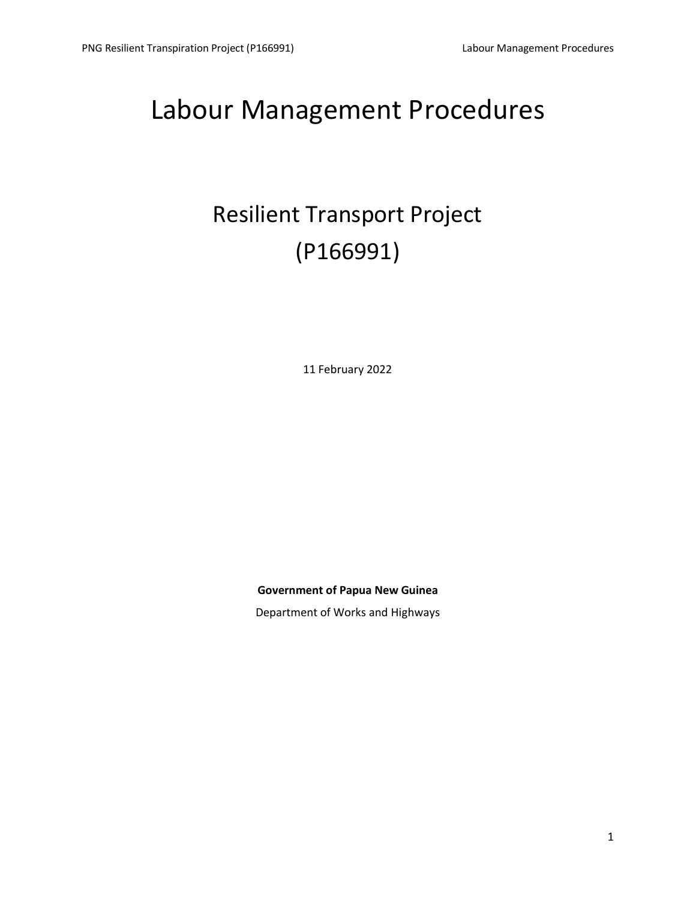# Labour Management Procedures

# Resilient Transport Project (P166991)

11 February 2022

**Government of Papua New Guinea**

Department of Works and Highways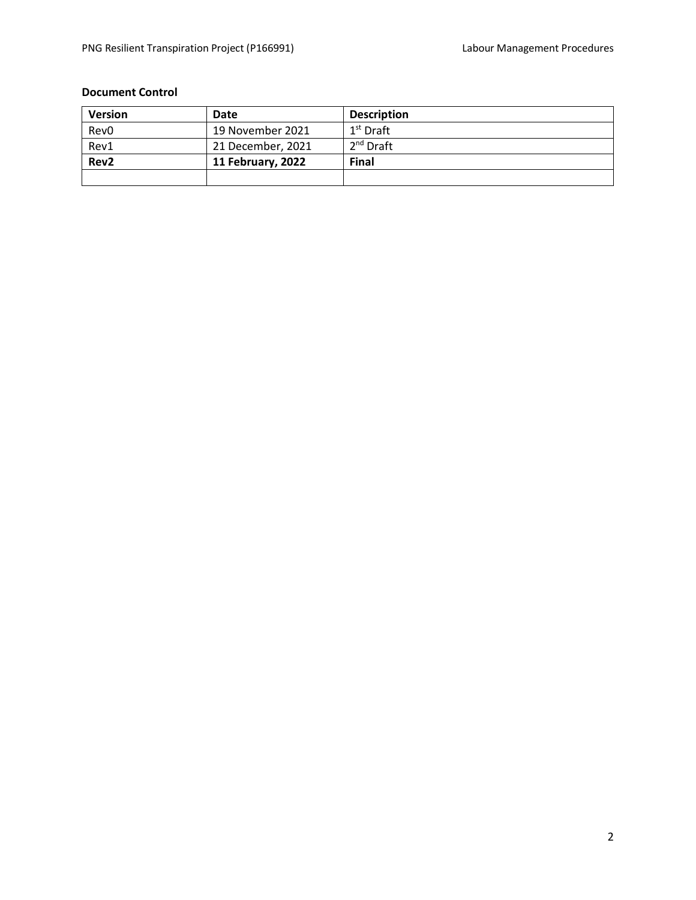#### **Document Control**

| <b>Version</b>   | Date              | <b>Description</b>    |
|------------------|-------------------|-----------------------|
| Rev <sub>0</sub> | 19 November 2021  | 1 <sup>st</sup> Draft |
| Rev1             | 21 December, 2021 | $2nd$ Draft           |
| Rev2             | 11 February, 2022 | Final                 |
|                  |                   |                       |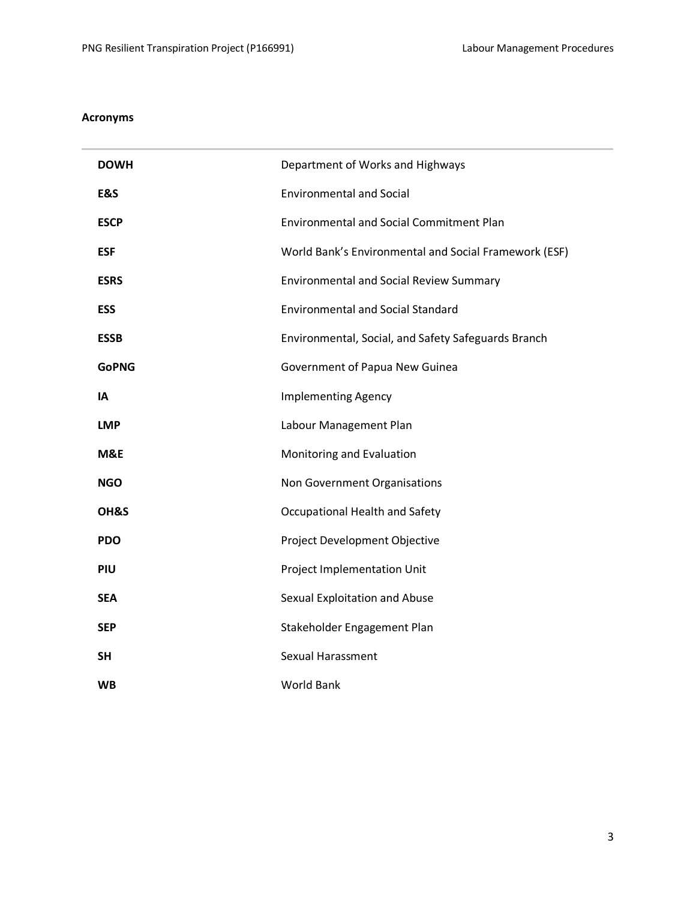**Acronyms**

| <b>DOWH</b>    | Department of Works and Highways                      |
|----------------|-------------------------------------------------------|
| <b>E&amp;S</b> | <b>Environmental and Social</b>                       |
| <b>ESCP</b>    | <b>Environmental and Social Commitment Plan</b>       |
| <b>ESF</b>     | World Bank's Environmental and Social Framework (ESF) |
| <b>ESRS</b>    | <b>Environmental and Social Review Summary</b>        |
| <b>ESS</b>     | <b>Environmental and Social Standard</b>              |
| <b>ESSB</b>    | Environmental, Social, and Safety Safeguards Branch   |
| <b>GoPNG</b>   | Government of Papua New Guinea                        |
| IA             | <b>Implementing Agency</b>                            |
| <b>LMP</b>     | Labour Management Plan                                |
| M&E            | Monitoring and Evaluation                             |
| <b>NGO</b>     | Non Government Organisations                          |
| OH&S           | Occupational Health and Safety                        |
| <b>PDO</b>     | Project Development Objective                         |
| PIU            | Project Implementation Unit                           |
| <b>SEA</b>     | Sexual Exploitation and Abuse                         |
| <b>SEP</b>     | Stakeholder Engagement Plan                           |
| <b>SH</b>      | Sexual Harassment                                     |
| <b>WB</b>      | <b>World Bank</b>                                     |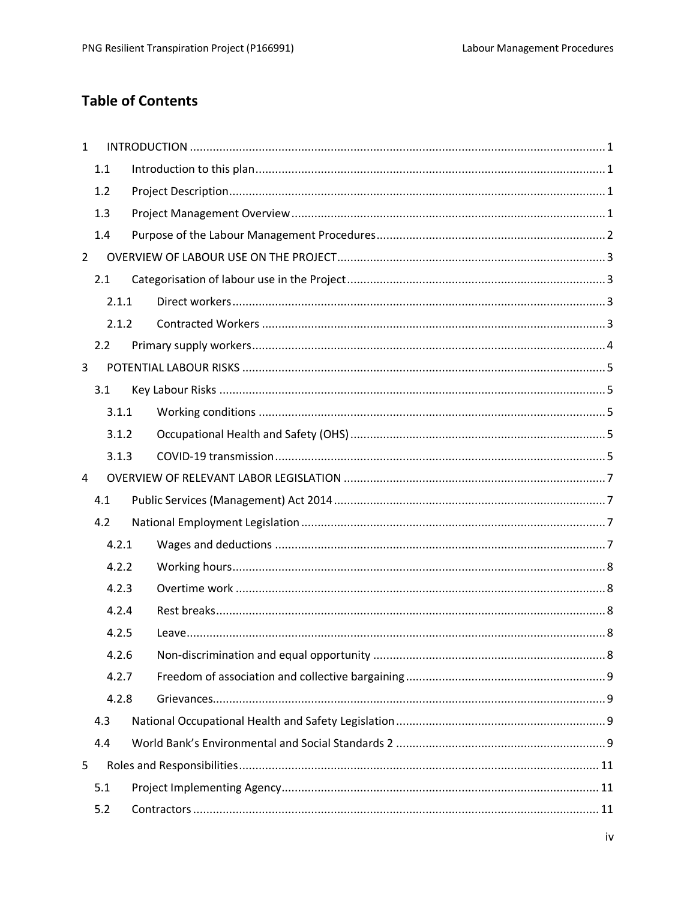# **Table of Contents**

| $\mathbf{1}$   |       |  |  |  |
|----------------|-------|--|--|--|
|                | 1.1   |  |  |  |
|                | 1.2   |  |  |  |
|                | 1.3   |  |  |  |
|                | 1.4   |  |  |  |
| $\overline{2}$ |       |  |  |  |
|                | 2.1   |  |  |  |
|                | 2.1.1 |  |  |  |
|                | 2.1.2 |  |  |  |
|                | 2.2   |  |  |  |
| 3              |       |  |  |  |
|                | 3.1   |  |  |  |
|                | 3.1.1 |  |  |  |
|                | 3.1.2 |  |  |  |
|                | 3.1.3 |  |  |  |
| 4              |       |  |  |  |
|                | 4.1   |  |  |  |
|                | 4.2   |  |  |  |
|                | 4.2.1 |  |  |  |
|                | 4.2.2 |  |  |  |
|                | 4.2.3 |  |  |  |
|                | 4.2.4 |  |  |  |
|                | 4.2.5 |  |  |  |
|                | 4.2.6 |  |  |  |
|                | 4.2.7 |  |  |  |
|                | 4.2.8 |  |  |  |
|                | 4.3   |  |  |  |
|                | 4.4   |  |  |  |
| 5              |       |  |  |  |
|                | 5.1   |  |  |  |
|                | 5.2   |  |  |  |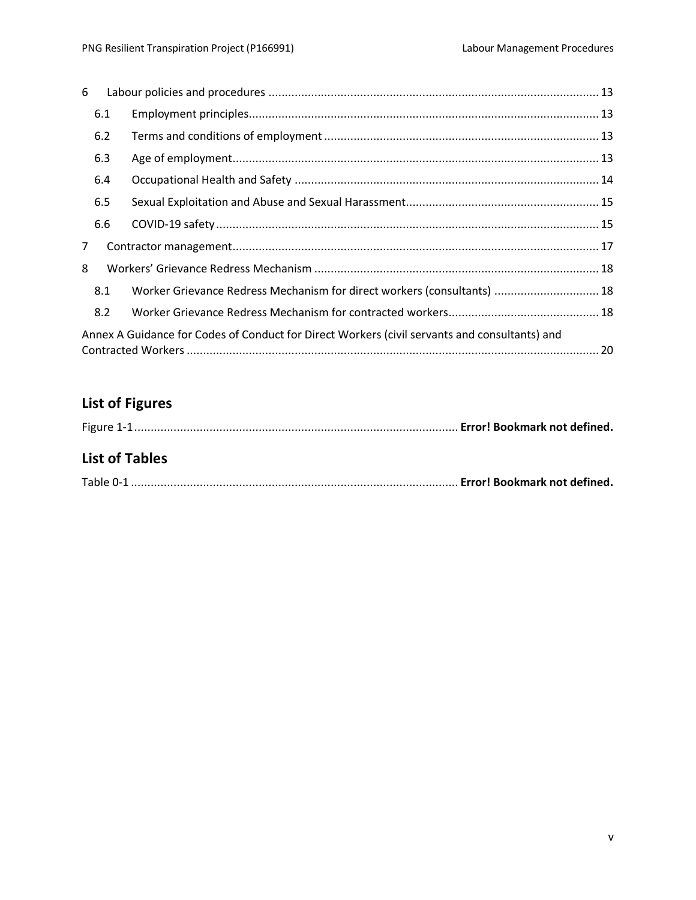| 6                                                                                             |     |                                                                         |  |  |
|-----------------------------------------------------------------------------------------------|-----|-------------------------------------------------------------------------|--|--|
|                                                                                               | 6.1 |                                                                         |  |  |
|                                                                                               | 6.2 |                                                                         |  |  |
|                                                                                               | 6.3 |                                                                         |  |  |
|                                                                                               | 6.4 |                                                                         |  |  |
|                                                                                               | 6.5 |                                                                         |  |  |
|                                                                                               | 6.6 |                                                                         |  |  |
| $\overline{7}$                                                                                |     |                                                                         |  |  |
| 8                                                                                             |     |                                                                         |  |  |
|                                                                                               | 8.1 | Worker Grievance Redress Mechanism for direct workers (consultants)  18 |  |  |
|                                                                                               | 8.2 |                                                                         |  |  |
| Annex A Guidance for Codes of Conduct for Direct Workers (civil servants and consultants) and |     |                                                                         |  |  |

# **List of Figures**

| <b>List of Tables</b> |  |
|-----------------------|--|

Table 0-1 .................................................................................................... **Error! Bookmark not defined.**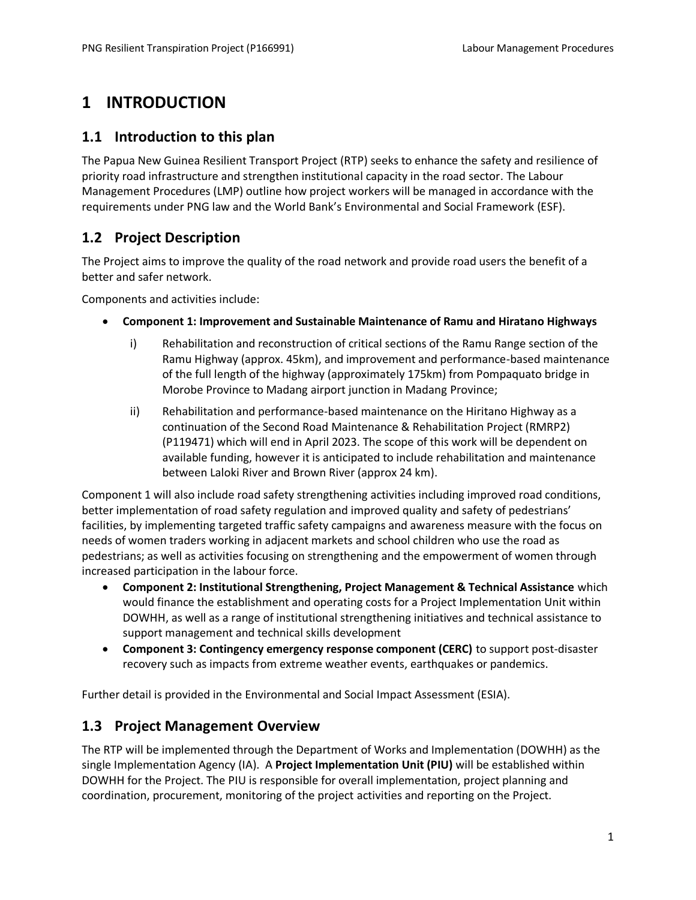# <span id="page-5-0"></span>**1 INTRODUCTION**

### <span id="page-5-1"></span>**1.1 Introduction to this plan**

The Papua New Guinea Resilient Transport Project (RTP) seeks to enhance the safety and resilience of priority road infrastructure and strengthen institutional capacity in the road sector. The Labour Management Procedures (LMP) outline how project workers will be managed in accordance with the requirements under PNG law and the World Bank's Environmental and Social Framework (ESF).

# <span id="page-5-2"></span>**1.2 Project Description**

The Project aims to improve the quality of the road network and provide road users the benefit of a better and safer network.

Components and activities include:

- **Component 1: Improvement and Sustainable Maintenance of Ramu and Hiratano Highways**
	- i) Rehabilitation and reconstruction of critical sections of the Ramu Range section of the Ramu Highway (approx. 45km), and improvement and performance-based maintenance of the full length of the highway (approximately 175km) from Pompaquato bridge in Morobe Province to Madang airport junction in Madang Province;
	- ii) Rehabilitation and performance-based maintenance on the Hiritano Highway as a continuation of the Second Road Maintenance & Rehabilitation Project (RMRP2) (P119471) which will end in April 2023. The scope of this work will be dependent on available funding, however it is anticipated to include rehabilitation and maintenance between Laloki River and Brown River (approx 24 km).

Component 1 will also include road safety strengthening activities including improved road conditions, better implementation of road safety regulation and improved quality and safety of pedestrians' facilities, by implementing targeted traffic safety campaigns and awareness measure with the focus on needs of women traders working in adjacent markets and school children who use the road as pedestrians; as well as activities focusing on strengthening and the empowerment of women through increased participation in the labour force.

- **Component 2: Institutional Strengthening, Project Management & Technical Assistance** which would finance the establishment and operating costs for a Project Implementation Unit within DOWHH, as well as a range of institutional strengthening initiatives and technical assistance to support management and technical skills development
- **Component 3: Contingency emergency response component (CERC)** to support post-disaster recovery such as impacts from extreme weather events, earthquakes or pandemics.

<span id="page-5-3"></span>Further detail is provided in the Environmental and Social Impact Assessment (ESIA).

# **1.3 Project Management Overview**

The RTP will be implemented through the Department of Works and Implementation (DOWHH) as the single Implementation Agency (IA). A **Project Implementation Unit (PIU)** will be established within DOWHH for the Project. The PIU is responsible for overall implementation, project planning and coordination, procurement, monitoring of the project activities and reporting on the Project.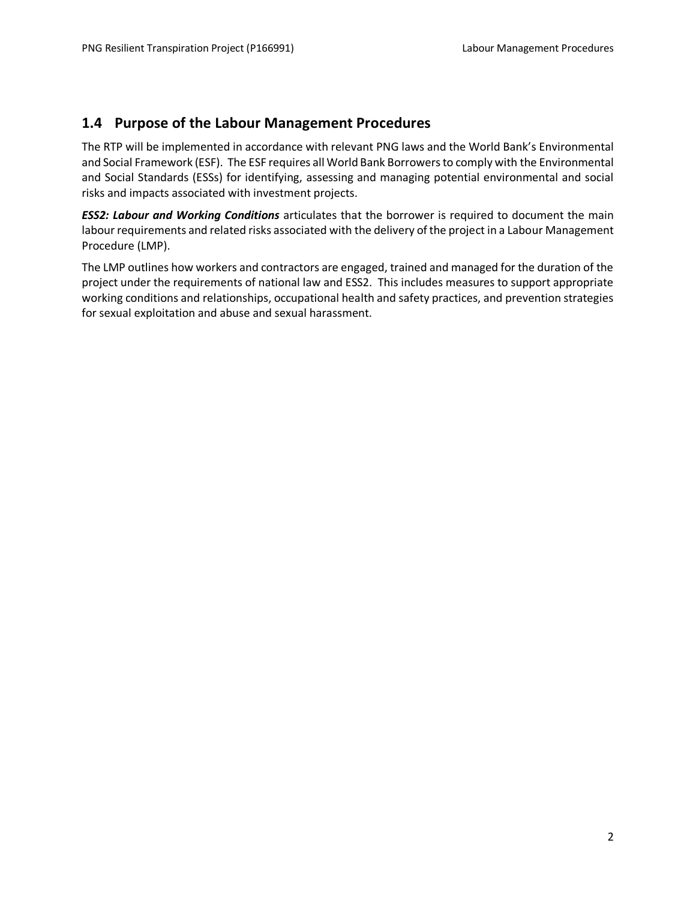### <span id="page-6-0"></span>**1.4 Purpose of the Labour Management Procedures**

The RTP will be implemented in accordance with relevant PNG laws and the World Bank's Environmental and Social Framework (ESF). The ESF requires all World Bank Borrowers to comply with the Environmental and Social Standards (ESSs) for identifying, assessing and managing potential environmental and social risks and impacts associated with investment projects.

*ESS2: Labour and Working Conditions* articulates that the borrower is required to document the main labour requirements and related risks associated with the delivery of the project in a Labour Management Procedure (LMP).

The LMP outlines how workers and contractors are engaged, trained and managed for the duration of the project under the requirements of national law and ESS2. This includes measures to support appropriate working conditions and relationships, occupational health and safety practices, and prevention strategies for sexual exploitation and abuse and sexual harassment.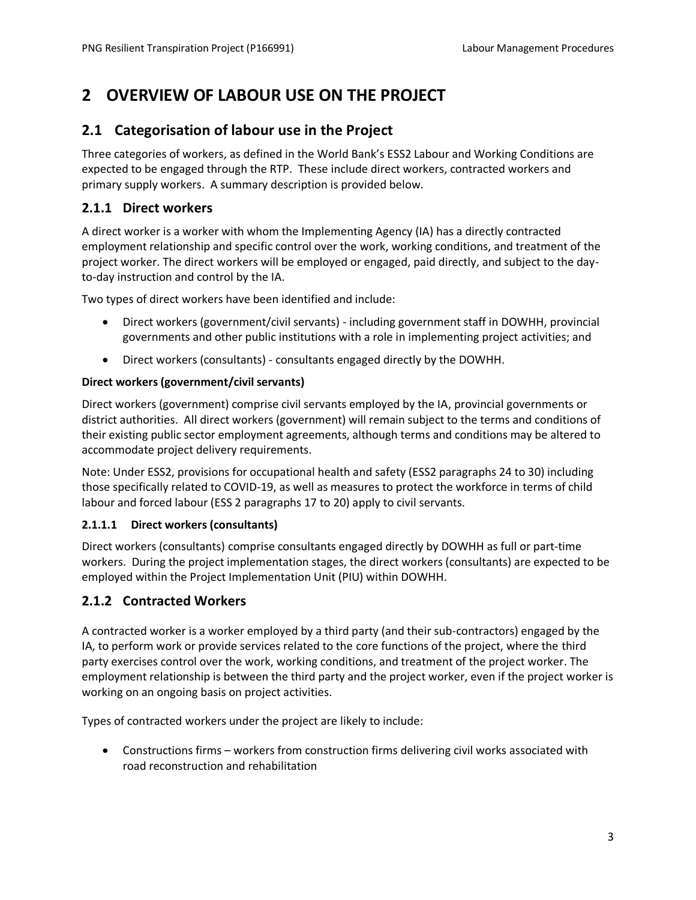# <span id="page-7-0"></span>**2 OVERVIEW OF LABOUR USE ON THE PROJECT**

# <span id="page-7-1"></span>**2.1 Categorisation of labour use in the Project**

Three categories of workers, as defined in the World Bank's ESS2 Labour and Working Conditions are expected to be engaged through the RTP. These include direct workers, contracted workers and primary supply workers. A summary description is provided below.

## <span id="page-7-2"></span>**2.1.1 Direct workers**

A direct worker is a worker with whom the Implementing Agency (IA) has a directly contracted employment relationship and specific control over the work, working conditions, and treatment of the project worker. The direct workers will be employed or engaged, paid directly, and subject to the dayto-day instruction and control by the IA.

Two types of direct workers have been identified and include:

- Direct workers (government/civil servants) including government staff in DOWHH, provincial governments and other public institutions with a role in implementing project activities; and
- Direct workers (consultants) consultants engaged directly by the DOWHH.

#### **Direct workers (government/civil servants)**

Direct workers (government) comprise civil servants employed by the IA, provincial governments or district authorities. All direct workers (government) will remain subject to the terms and conditions of their existing public sector employment agreements, although terms and conditions may be altered to accommodate project delivery requirements.

Note: Under ESS2, provisions for occupational health and safety (ESS2 paragraphs 24 to 30) including those specifically related to COVID-19, as well as measures to protect the workforce in terms of child labour and forced labour (ESS 2 paragraphs 17 to 20) apply to civil servants.

#### **2.1.1.1 Direct workers (consultants)**

Direct workers (consultants) comprise consultants engaged directly by DOWHH as full or part-time workers. During the project implementation stages, the direct workers (consultants) are expected to be employed within the Project Implementation Unit (PIU) within DOWHH.

#### <span id="page-7-3"></span>**2.1.2 Contracted Workers**

A contracted worker is a worker employed by a third party (and their sub-contractors) engaged by the IA, to perform work or provide services related to the core functions of the project, where the third party exercises control over the work, working conditions, and treatment of the project worker. The employment relationship is between the third party and the project worker, even if the project worker is working on an ongoing basis on project activities.

Types of contracted workers under the project are likely to include:

• Constructions firms – workers from construction firms delivering civil works associated with road reconstruction and rehabilitation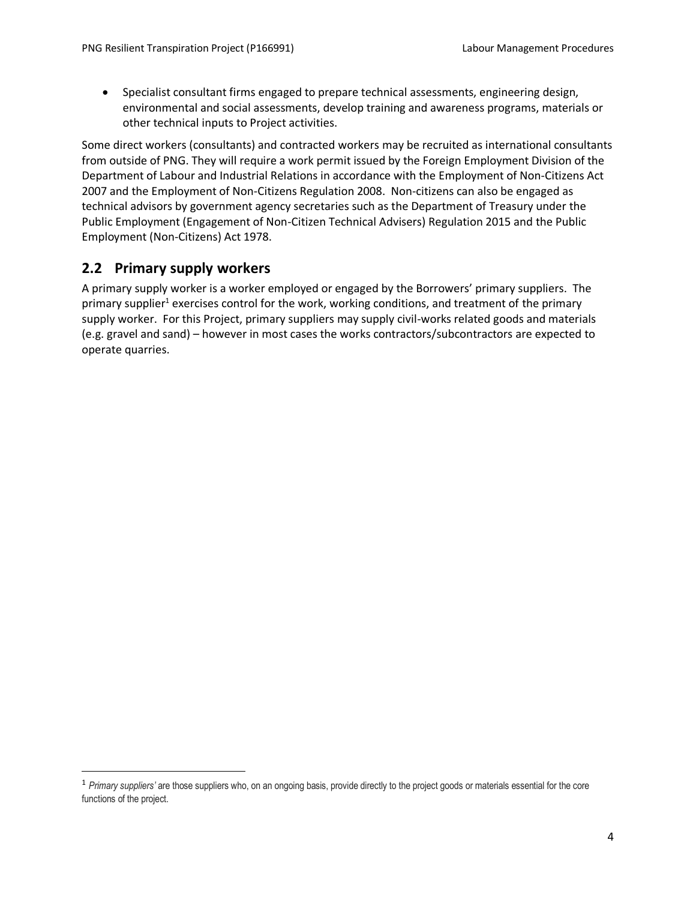• Specialist consultant firms engaged to prepare technical assessments, engineering design, environmental and social assessments, develop training and awareness programs, materials or other technical inputs to Project activities.

Some direct workers (consultants) and contracted workers may be recruited as international consultants from outside of PNG. They will require a work permit issued by the Foreign Employment Division of the Department of Labour and Industrial Relations in accordance with the [Employment of Non-Citizens Act](https://www.ilo.org/dyn/natlex/docs/ELECTRONIC/82389/90175/F749145263/PNG82389.pdf)  [2007](https://www.ilo.org/dyn/natlex/docs/ELECTRONIC/82389/90175/F749145263/PNG82389.pdf) and the [Employment of Non-Citizens Regulation 2008.](https://www.ilo.org/dyn/natlex/natlex4.detail?p_lang=en&p_isn=82390&p_country=PNG&p_count=157) Non-citizens can also be engaged as technical advisors by government agency secretaries such as the Department of Treasury under the [Public Employment \(Engagement of Non-Citizen Technical Advisers\) Regulation 2015](http://www.dpm.gov.pg/wp-content/uploads/2019/05/doc_1617380210_NCTARegulationsignedbyGG.pdf) and the [Public](http://www.paclii.org/pg/legis/consol_act/pea1978343.pdf)  [Employment \(Non-Citizens\) Act 1978.](http://www.paclii.org/pg/legis/consol_act/pea1978343.pdf)

# <span id="page-8-0"></span>**2.2 Primary supply workers**

A primary supply worker is a worker employed or engaged by the Borrowers' primary suppliers. The primary supplier<sup>1</sup> exercises control for the work, working conditions, and treatment of the primary supply worker. For this Project, primary suppliers may supply civil-works related goods and materials (e.g. gravel and sand) – however in most cases the works contractors/subcontractors are expected to operate quarries.

<sup>&</sup>lt;sup>1</sup> Primary suppliers' are those suppliers who, on an ongoing basis, provide directly to the project goods or materials essential for the core functions of the project.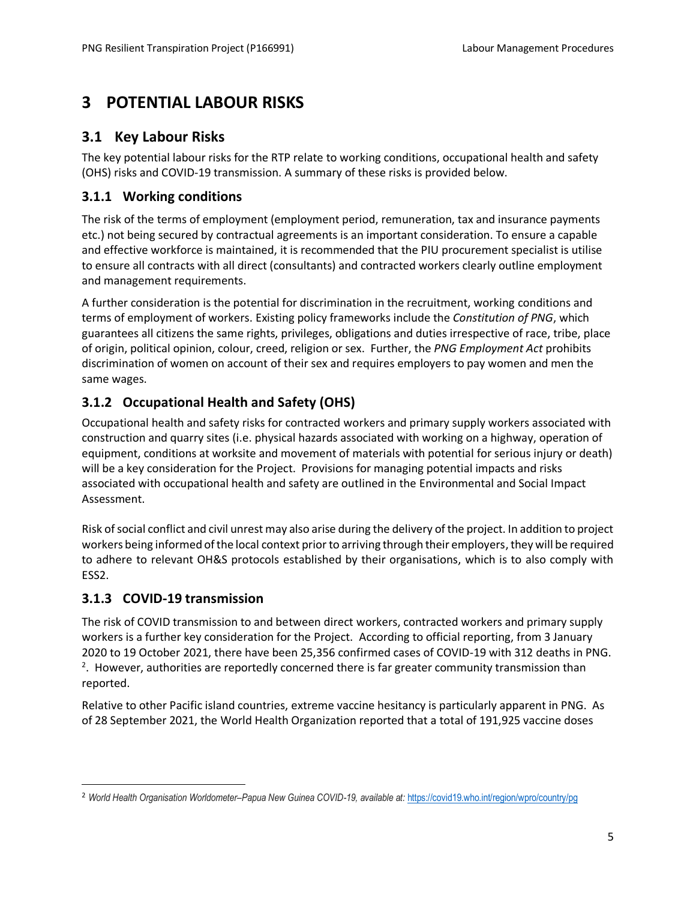# <span id="page-9-0"></span>**3 POTENTIAL LABOUR RISKS**

# <span id="page-9-1"></span>**3.1 Key Labour Risks**

The key potential labour risks for the RTP relate to working conditions, occupational health and safety (OHS) risks and COVID-19 transmission. A summary of these risks is provided below.

## <span id="page-9-2"></span>**3.1.1 Working conditions**

The risk of the terms of employment (employment period, remuneration, tax and insurance payments etc.) not being secured by contractual agreements is an important consideration. To ensure a capable and effective workforce is maintained, it is recommended that the PIU procurement specialist is utilise to ensure all contracts with all direct (consultants) and contracted workers clearly outline employment and management requirements.

A further consideration is the potential for discrimination in the recruitment, working conditions and terms of employment of workers. Existing policy frameworks include the *Constitution of PNG*, which guarantees all citizens the same rights, privileges, obligations and duties irrespective of race, tribe, place of origin, political opinion, colour, creed, religion or sex. Further, the *PNG Employment Act* prohibits discrimination of women on account of their sex and requires employers to pay women and men the same wages.

# <span id="page-9-3"></span>**3.1.2 Occupational Health and Safety (OHS)**

Occupational health and safety risks for contracted workers and primary supply workers associated with construction and quarry sites (i.e. physical hazards associated with working on a highway, operation of equipment, conditions at worksite and movement of materials with potential for serious injury or death) will be a key consideration for the Project. Provisions for managing potential impacts and risks associated with occupational health and safety are outlined in the Environmental and Social Impact Assessment.

Risk of social conflict and civil unrest may also arise during the delivery of the project. In addition to project workers being informed of the local context prior to arriving through their employers, they will be required to adhere to relevant OH&S protocols established by their organisations, which is to also comply with ESS2.

# <span id="page-9-4"></span>**3.1.3 COVID-19 transmission**

The risk of COVID transmission to and between direct workers, contracted workers and primary supply workers is a further key consideration for the Project. According to official reporting, from 3 January 2020 to 19 October 2021, there have been 25,356 confirmed cases of COVID-19 with 312 deaths in PNG. <sup>2</sup>. However, authorities are reportedly concerned there is far greater community transmission than reported.

Relative to other Pacific island countries, extreme vaccine hesitancy is particularly apparent in PNG. As of 28 September 2021, the World Health Organization reported that a total of 191,925 vaccine doses

<sup>2</sup> *World Health Organisation Worldometer–Papua New Guinea COVID-19, available at:* <https://covid19.who.int/region/wpro/country/pg>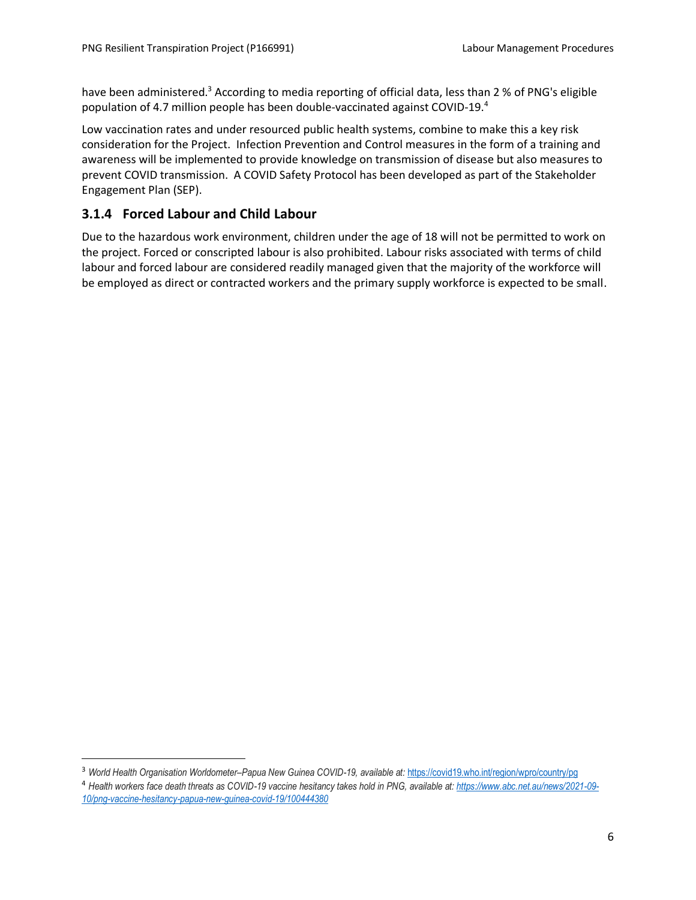have been administered.<sup>3</sup> According to media reporting of official data, less than 2 % of PNG's eligible population of 4.7 million people has been double-vaccinated against COVID-19.<sup>4</sup>

Low vaccination rates and under resourced public health systems, combine to make this a key risk consideration for the Project. Infection Prevention and Control measures in the form of a training and awareness will be implemented to provide knowledge on transmission of disease but also measures to prevent COVID transmission. A COVID Safety Protocol has been developed as part of the Stakeholder Engagement Plan (SEP).

#### **3.1.4 Forced Labour and Child Labour**

Due to the hazardous work environment, children under the age of 18 will not be permitted to work on the project. Forced or conscripted labour is also prohibited. Labour risks associated with terms of child labour and forced labour are considered readily managed given that the majority of the workforce will be employed as direct or contracted workers and the primary supply workforce is expected to be small.

<sup>3</sup> *World Health Organisation Worldometer–Papua New Guinea COVID-19, available at:* <https://covid19.who.int/region/wpro/country/pg> <sup>4</sup> *Health workers face death threats as COVID-19 vaccine hesitancy takes hold in PNG, available at[: https://www.abc.net.au/news/2021-09-](https://www.abc.net.au/news/2021-09-10/png-vaccine-hesitancy-papua-new-guinea-covid-19/100444380) [10/png-vaccine-hesitancy-papua-new-guinea-covid-19/100444380](https://www.abc.net.au/news/2021-09-10/png-vaccine-hesitancy-papua-new-guinea-covid-19/100444380)*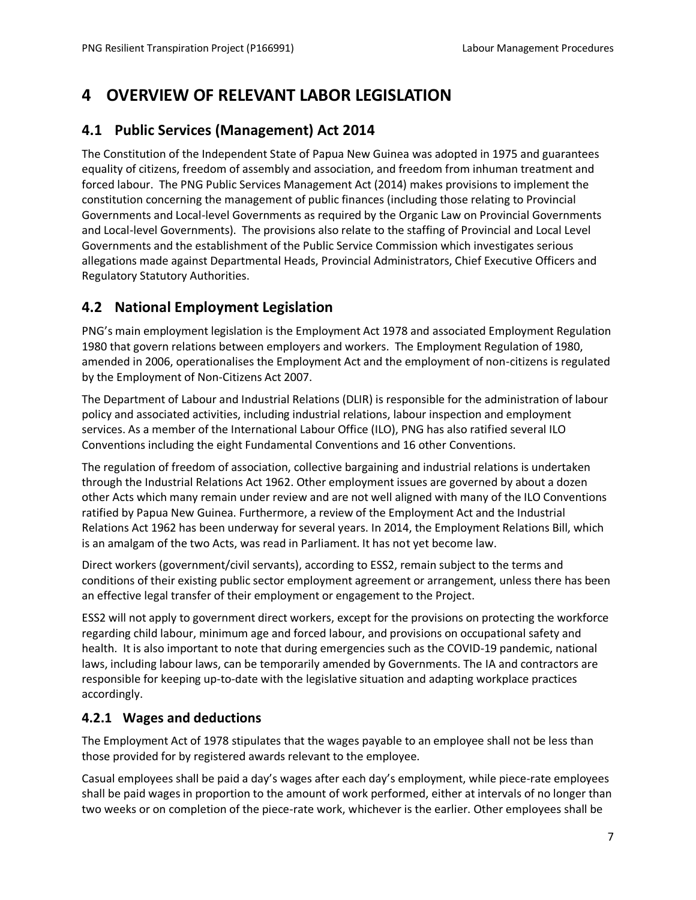# <span id="page-11-0"></span>**4 OVERVIEW OF RELEVANT LABOR LEGISLATION**

# <span id="page-11-1"></span>**4.1 Public Services (Management) Act 2014**

The [Constitution of the Independent State of Papua New Guinea](http://www.paclii.org/pg/legis/consol_act/cotisopng534/) was adopted in 1975 and guarantees equality of citizens, freedom of assembly and association, and freedom from inhuman treatment and forced labour. The PNG Public Services Management Act (2014) makes provisions to implement the constitution concerning the management of public finances (including those relating to Provincial Governments and Local-level Governments as required by the Organic Law on Provincial Governments and Local-level Governments). The provisions also relate to the staffing of Provincial and Local Level Governments and the establishment of the Public Service Commission which investigates serious allegations made against Departmental Heads, Provincial Administrators, Chief Executive Officers and Regulatory Statutory Authorities.

# <span id="page-11-2"></span>**4.2 National Employment Legislation**

PNG's main employment legislation is the Employment Act 1978 and associated Employment Regulation 1980 that govern relations between employers and workers. The [Employment Regulation of 1980,](https://www.ilo.org/dyn/travail/docs/1101/Employment%20Regulations%201980%20(amended%20as%20at%202006).pdf) amended in 2006, operationalises the Employment Act and the employment of non-citizens is regulated by the Employment of Non-Citizens Act 2007.

The Department of Labour and Industrial Relations (DLIR) is responsible for the administration of labour policy and associated activities, including industrial relations, labour inspection and employment services. As a member of the International Labour Office (ILO), PNG has also ratified several ILO Conventions including the eight Fundamental Conventions and 16 other Conventions.

The regulation of freedom of association, collective bargaining and industrial relations is undertaken through the [Industrial Relations Act 1962.](https://www.ilo.org/dyn/natlex/natlex4.detail?p_lang=en&p_isn=65908&p_country=PNG&p_count=170) Other employment issues are governed by about a dozen other Acts which many remain under review and are not well aligned with many of the ILO Conventions ratified by Papua New Guinea. Furthermore, a review of the Employment Act and the Industrial Relations Act 1962 has been underway for several years. In 2014, the Employment Relations Bill, which is an amalgam of the two Acts, was read in Parliament. It has not yet become law.

Direct workers (government/civil servants), according to ESS2, remain subject to the terms and conditions of their existing public sector employment agreement or arrangement, unless there has been an effective legal transfer of their employment or engagement to the Project.

ESS2 will not apply to government direct workers, except for the provisions on protecting the workforce regarding child labour, minimum age and forced labour, and provisions on occupational safety and health. It is also important to note that during emergencies such as the COVID-19 pandemic, national laws, including labour laws, can be temporarily amended by Governments. The IA and contractors are responsible for keeping up-to-date with the legislative situation and adapting workplace practices accordingly.

#### <span id="page-11-3"></span>**4.2.1 Wages and deductions**

The Employment Act of 1978 stipulates that the wages payable to an employee shall not be less than those provided for by registered awards relevant to the employee.

Casual employees shall be paid a day's wages after each day's employment, while piece-rate employees shall be paid wages in proportion to the amount of work performed, either at intervals of no longer than two weeks or on completion of the piece-rate work, whichever is the earlier. Other employees shall be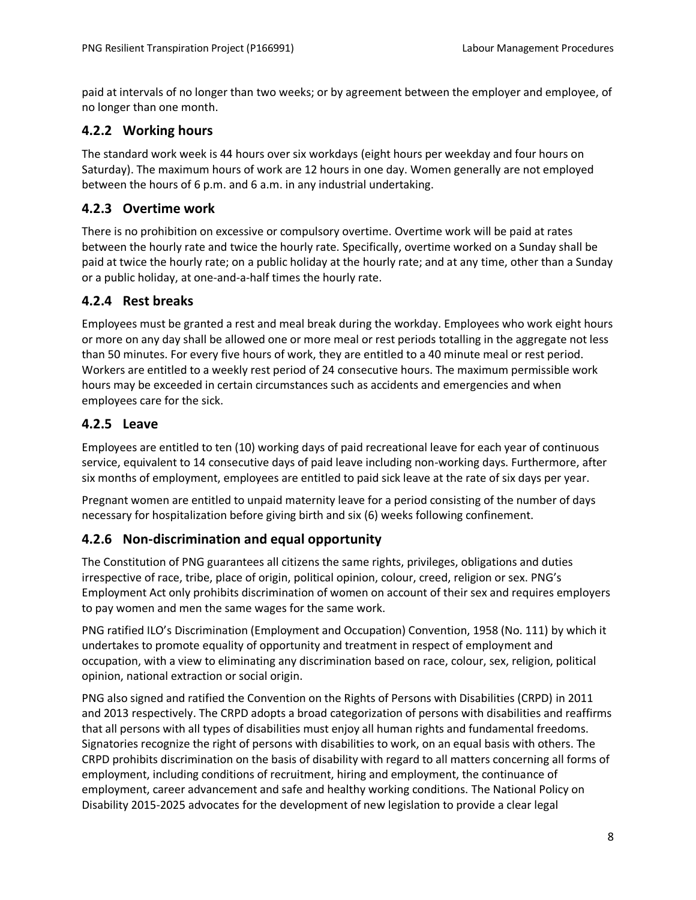paid at intervals of no longer than two weeks; or by agreement between the employer and employee, of no longer than one month.

#### <span id="page-12-0"></span>**4.2.2 Working hours**

The standard work week is 44 hours over six workdays (eight hours per weekday and four hours on Saturday). The maximum hours of work are 12 hours in one day. Women generally are not employed between the hours of 6 p.m. and 6 a.m. in any industrial undertaking.

#### <span id="page-12-1"></span>**4.2.3 Overtime work**

There is no prohibition on excessive or compulsory overtime. Overtime work will be paid at rates between the hourly rate and twice the hourly rate. Specifically, overtime worked on a Sunday shall be paid at twice the hourly rate; on a public holiday at the hourly rate; and at any time, other than a Sunday or a public holiday, at one-and-a-half times the hourly rate.

#### <span id="page-12-2"></span>**4.2.4 Rest breaks**

Employees must be granted a rest and meal break during the workday. Employees who work eight hours or more on any day shall be allowed one or more meal or rest periods totalling in the aggregate not less than 50 minutes. For every five hours of work, they are entitled to a 40 minute meal or rest period. Workers are entitled to a weekly rest period of 24 consecutive hours. The maximum permissible work hours may be exceeded in certain circumstances such as accidents and emergencies and when employees care for the sick.

#### <span id="page-12-3"></span>**4.2.5 Leave**

Employees are entitled to ten (10) working days of paid recreational leave for each year of continuous service, equivalent to 14 consecutive days of paid leave including non-working days. Furthermore, after six months of employment, employees are entitled to paid sick leave at the rate of six days per year.

Pregnant women are entitled to unpaid maternity leave for a period consisting of the number of days necessary for hospitalization before giving birth and six (6) weeks following confinement.

#### <span id="page-12-4"></span>**4.2.6 Non-discrimination and equal opportunity**

The Constitution of PNG guarantees all citizens the same rights, privileges, obligations and duties irrespective of race, tribe, place of origin, political opinion, colour, creed, religion or sex. PNG's Employment Act only prohibits discrimination of women on account of their sex and requires employers to pay women and men the same wages for the same work.

PNG ratified ILO's [Discrimination \(Employment and Occupation\) Convention, 1958 \(No. 111\)](https://www.ilo.org/dyn/normlex/en/f?p=NORMLEXPUB:12100:0::NO:12100:P12100_INSTRUMENT_ID:312256:NO) by which it undertakes to promote equality of opportunity and treatment in respect of employment and occupation, with a view to eliminating any discrimination based on race, colour, sex, religion, political opinion, national extraction or social origin.

PNG also signed and ratified the Convention on the Rights of Persons with Disabilities (CRPD) in 2011 and 2013 respectively. The CRPD adopts a broad categorization of persons with disabilities and reaffirms that all persons with all types of disabilities must enjoy all human rights and fundamental freedoms. Signatories recognize the right of persons with disabilities to work, on an equal basis with others. The CRPD prohibits discrimination on the basis of disability with regard to all matters concerning all forms of employment, including conditions of recruitment, hiring and employment, the continuance of employment, career advancement and safe and healthy working conditions. The National Policy on Disability 2015-2025 advocates for the development of new legislation to provide a clear legal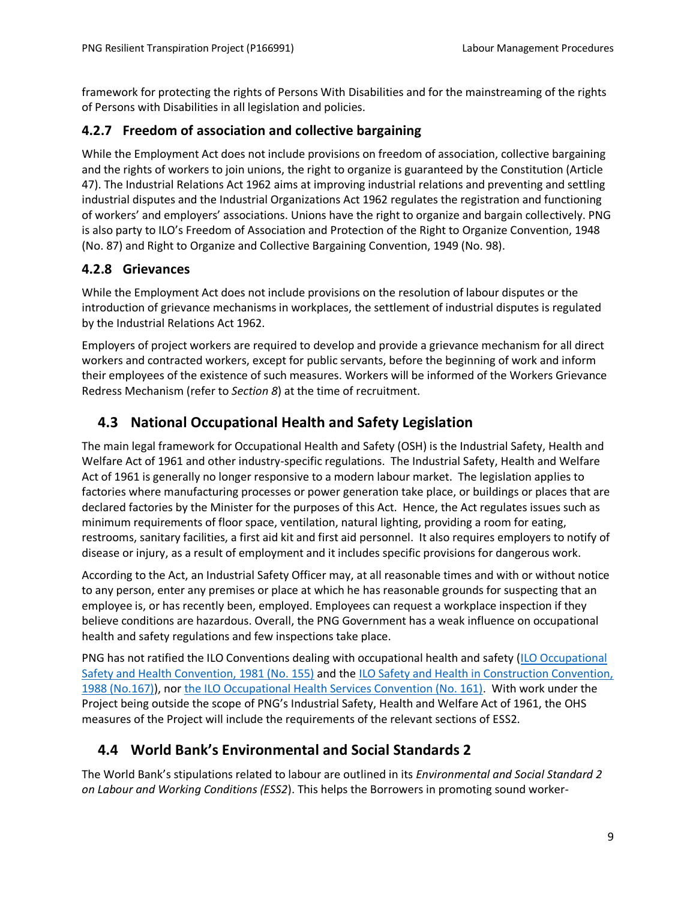framework for protecting the rights of Persons With Disabilities and for the mainstreaming of the rights of Persons with Disabilities in all legislation and policies.

#### <span id="page-13-0"></span>**4.2.7 Freedom of association and collective bargaining**

While the Employment Act does not include provisions on freedom of association, collective bargaining and the rights of workers to join unions, the right to organize is guaranteed by the Constitution (Article 47). The Industrial Relations Act 1962 aims at improving industrial relations and preventing and settling industrial disputes and the Industrial Organizations Act 1962 regulates the registration and functioning of workers' and employers' associations. Unions have the right to organize and bargain collectively. PNG is also party to ILO's Freedom of Association and Protection of the Right to Organize Convention, 1948 (No. 87) and Right to Organize and Collective Bargaining Convention, 1949 (No. 98).

#### <span id="page-13-1"></span>**4.2.8 Grievances**

While the Employment Act does not include provisions on the resolution of labour disputes or the introduction of grievance mechanisms in workplaces, the settlement of industrial disputes is regulated by the Industrial Relations Act 1962.

Employers of project workers are required to develop and provide a grievance mechanism for all direct workers and contracted workers, except for public servants, before the beginning of work and inform their employees of the existence of such measures. Workers will be informed of the Workers Grievance Redress Mechanism (refer to *Sectio[n 8](#page-22-0)*) at the time of recruitment.

# <span id="page-13-2"></span>**4.3 National Occupational Health and Safety Legislation**

The main legal framework for Occupational Health and Safety (OSH) is the Industrial Safety, Health and Welfare Act of 1961 and other industry-specific regulations. The Industrial Safety, Health and Welfare Act of 1961 is generally no longer responsive to a modern labour market. The legislation applies to factories where manufacturing processes or power generation take place, or buildings or places that are declared factories by the Minister for the purposes of this Act. Hence, the Act regulates issues such as minimum requirements of floor space, ventilation, natural lighting, providing a room for eating, restrooms, sanitary facilities, a first aid kit and first aid personnel. It also requires employers to notify of disease or injury, as a result of employment and it includes specific provisions for dangerous work.

According to the Act, an Industrial Safety Officer may, at all reasonable times and with or without notice to any person, enter any premises or place at which he has reasonable grounds for suspecting that an employee is, or has recently been, employed. Employees can request a workplace inspection if they believe conditions are hazardous. Overall, the PNG Government has a weak influence on occupational health and safety regulations and few inspections take place.

PNG has not ratified the ILO Conventions dealing with occupational health and safety [\(ILO Occupational](https://www.ilo.org/dyn/normlex/en/f?p=NORMLEXPUB:12100:0::NO::P12100_ILO_CODE:C155)  [Safety and Health Convention, 1981 \(No. 155\)](https://www.ilo.org/dyn/normlex/en/f?p=NORMLEXPUB:12100:0::NO::P12100_ILO_CODE:C155) and the [ILO Safety and Health in Construction Convention,](https://www.ilo.org/dyn/normlex/en/f?p=NORMLEXPUB:12100:0::NO::P12100_ILO_CODE:C167)  [1988 \(No.167\)\)](https://www.ilo.org/dyn/normlex/en/f?p=NORMLEXPUB:12100:0::NO::P12100_ILO_CODE:C167), nor [the ILO Occupational Health Services Convention \(No. 161\).](https://www.ilo.org/dyn/normlex/en/f?p=NORMLEXPUB:12100:0::NO::P12100_ILO_CODE:C161) With work under the Project being outside the scope of PNG's Industrial Safety, Health and Welfare Act of 1961, the OHS measures of the Project will include the requirements of the relevant sections of ESS2.

# <span id="page-13-3"></span>**4.4 World Bank's Environmental and Social Standards 2**

The World Bank's stipulations related to labour are outlined in its *Environmental and Social Standard 2 on Labour and Working Conditions (ESS2*). This helps the Borrowers in promoting sound worker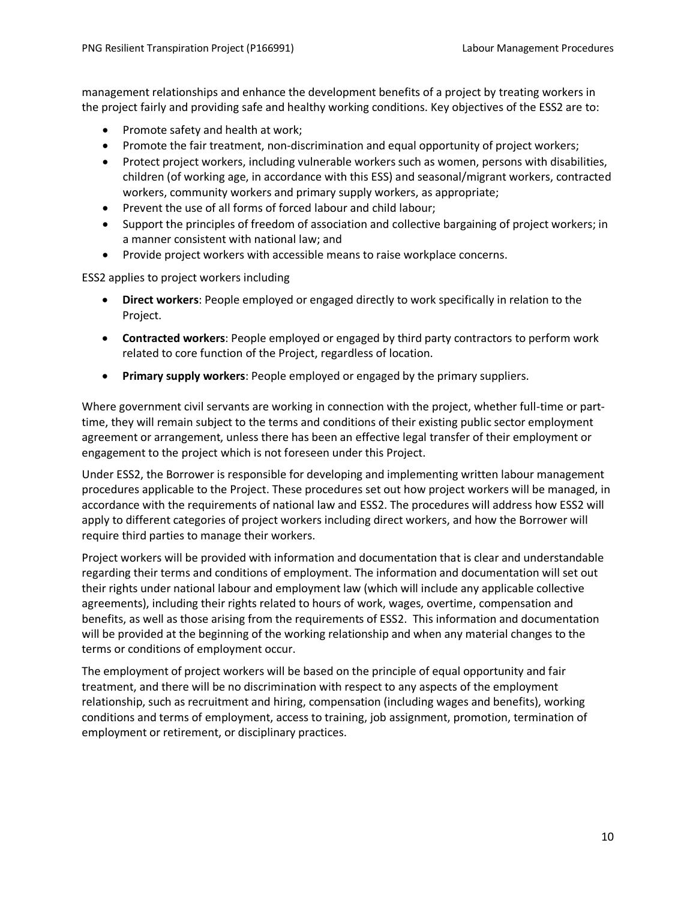management relationships and enhance the development benefits of a project by treating workers in the project fairly and providing safe and healthy working conditions. Key objectives of the ESS2 are to:

- Promote safety and health at work;
- Promote the fair treatment, non-discrimination and equal opportunity of project workers;
- Protect project workers, including vulnerable workers such as women, persons with disabilities, children (of working age, in accordance with this ESS) and seasonal/migrant workers, contracted workers, community workers and primary supply workers, as appropriate;
- Prevent the use of all forms of forced labour and child labour;
- Support the principles of freedom of association and collective bargaining of project workers; in a manner consistent with national law; and
- Provide project workers with accessible means to raise workplace concerns.

ESS2 applies to project workers including

- **Direct workers**: People employed or engaged directly to work specifically in relation to the Project.
- **Contracted workers**: People employed or engaged by third party contractors to perform work related to core function of the Project, regardless of location.
- **Primary supply workers**: People employed or engaged by the primary suppliers.

Where government civil servants are working in connection with the project, whether full-time or parttime, they will remain subject to the terms and conditions of their existing public sector employment agreement or arrangement, unless there has been an effective legal transfer of their employment or engagement to the project which is not foreseen under this Project.

Under ESS2, the Borrower is responsible for developing and implementing written labour management procedures applicable to the Project. These procedures set out how project workers will be managed, in accordance with the requirements of national law and ESS2. The procedures will address how ESS2 will apply to different categories of project workers including direct workers, and how the Borrower will require third parties to manage their workers.

Project workers will be provided with information and documentation that is clear and understandable regarding their terms and conditions of employment. The information and documentation will set out their rights under national labour and employment law (which will include any applicable collective agreements), including their rights related to hours of work, wages, overtime, compensation and benefits, as well as those arising from the requirements of ESS2. This information and documentation will be provided at the beginning of the working relationship and when any material changes to the terms or conditions of employment occur.

The employment of project workers will be based on the principle of equal opportunity and fair treatment, and there will be no discrimination with respect to any aspects of the employment relationship, such as recruitment and hiring, compensation (including wages and benefits), working conditions and terms of employment, access to training, job assignment, promotion, termination of employment or retirement, or disciplinary practices.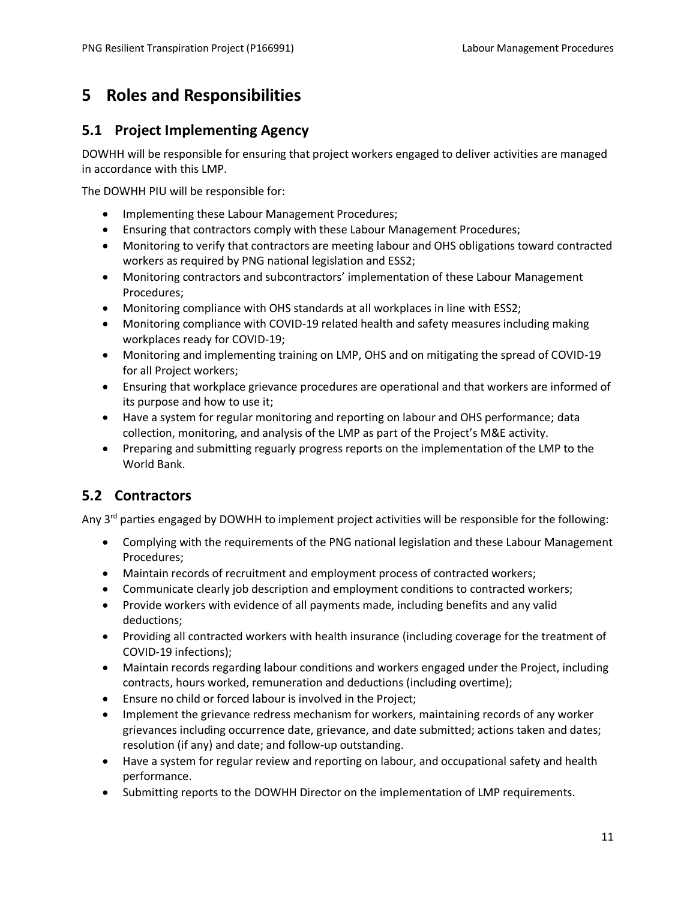# <span id="page-15-0"></span>**5 Roles and Responsibilities**

# <span id="page-15-1"></span>**5.1 Project Implementing Agency**

DOWHH will be responsible for ensuring that project workers engaged to deliver activities are managed in accordance with this LMP.

The DOWHH PIU will be responsible for:

- Implementing these Labour Management Procedures;
- Ensuring that contractors comply with these Labour Management Procedures;
- Monitoring to verify that contractors are meeting labour and OHS obligations toward contracted workers as required by PNG national legislation and ESS2;
- Monitoring contractors and subcontractors' implementation of these Labour Management Procedures;
- Monitoring compliance with OHS standards at all workplaces in line with ESS2;
- Monitoring compliance with COVID-19 related health and safety measures including making workplaces ready for COVID-19;
- Monitoring and implementing training on LMP, OHS and on mitigating the spread of COVID-19 for all Project workers;
- Ensuring that workplace grievance procedures are operational and that workers are informed of its purpose and how to use it;
- Have a system for regular monitoring and reporting on labour and OHS performance; data collection, monitoring, and analysis of the LMP as part of the Project's M&E activity.
- Preparing and submitting reguarly progress reports on the implementation of the LMP to the World Bank.

# <span id="page-15-2"></span>**5.2 Contractors**

Any  $3<sup>rd</sup>$  parties engaged by DOWHH to implement project activities will be responsible for the following:

- Complying with the requirements of the PNG national legislation and these Labour Management Procedures;
- Maintain records of recruitment and employment process of contracted workers;
- Communicate clearly job description and employment conditions to contracted workers;
- Provide workers with evidence of all payments made, including benefits and any valid deductions;
- Providing all contracted workers with health insurance (including coverage for the treatment of COVID-19 infections);
- Maintain records regarding labour conditions and workers engaged under the Project, including contracts, hours worked, remuneration and deductions (including overtime);
- Ensure no child or forced labour is involved in the Project;
- Implement the grievance redress mechanism for workers, maintaining records of any worker grievances including occurrence date, grievance, and date submitted; actions taken and dates; resolution (if any) and date; and follow-up outstanding.
- Have a system for regular review and reporting on labour, and occupational safety and health performance.
- Submitting reports to the DOWHH Director on the implementation of LMP requirements.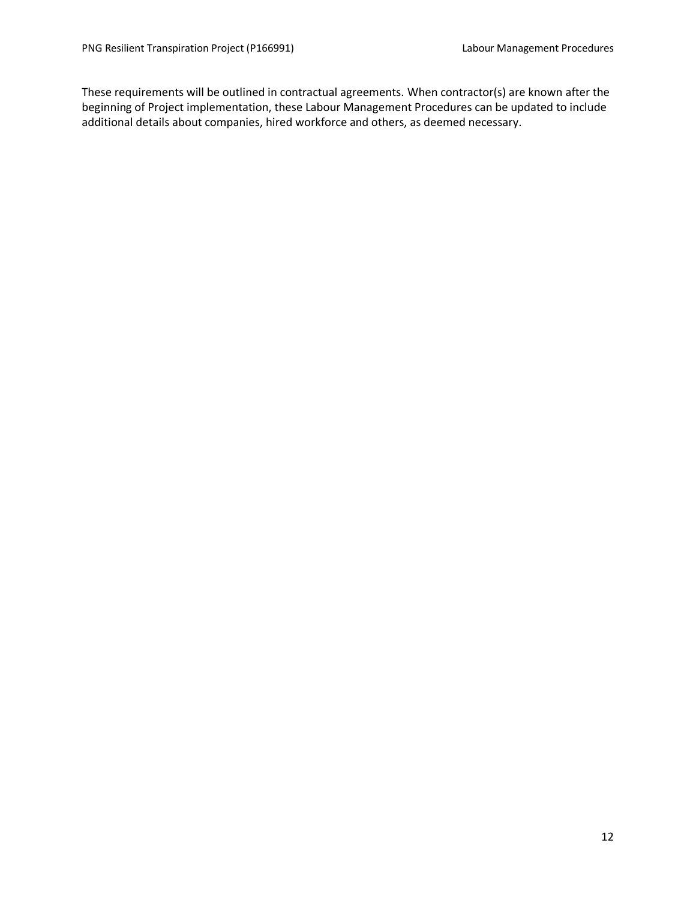These requirements will be outlined in contractual agreements. When contractor(s) are known after the beginning of Project implementation, these Labour Management Procedures can be updated to include additional details about companies, hired workforce and others, as deemed necessary.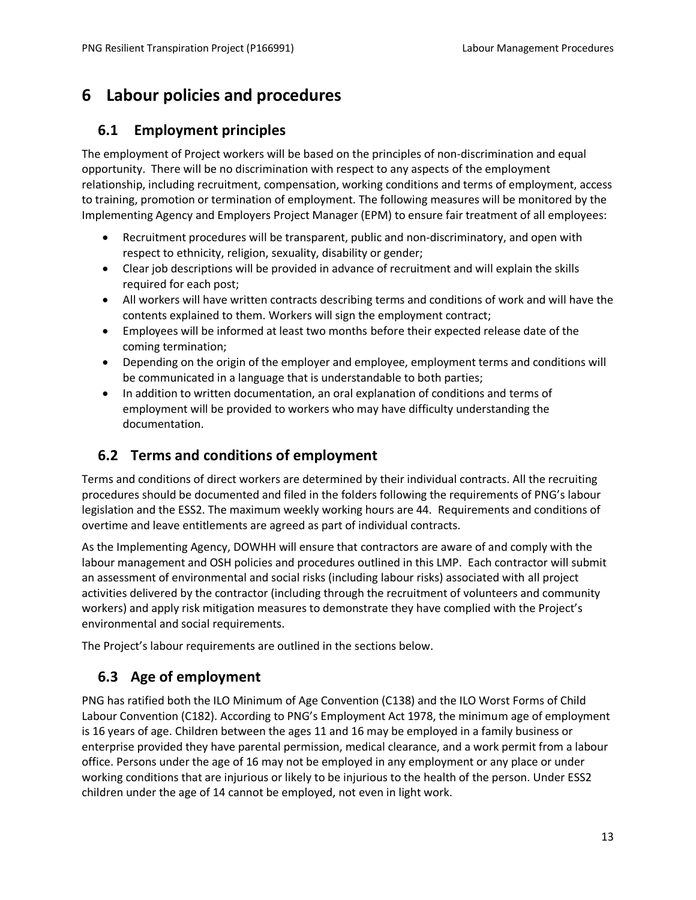# <span id="page-17-0"></span>**6 Labour policies and procedures**

# <span id="page-17-1"></span>**6.1 Employment principles**

The employment of Project workers will be based on the principles of non-discrimination and equal opportunity. There will be no discrimination with respect to any aspects of the employment relationship, including recruitment, compensation, working conditions and terms of employment, access to training, promotion or termination of employment. The following measures will be monitored by the Implementing Agency and Employers Project Manager (EPM) to ensure fair treatment of all employees:

- Recruitment procedures will be transparent, public and non-discriminatory, and open with respect to ethnicity, religion, sexuality, disability or gender;
- Clear job descriptions will be provided in advance of recruitment and will explain the skills required for each post;
- All workers will have written contracts describing terms and conditions of work and will have the contents explained to them. Workers will sign the employment contract;
- Employees will be informed at least two months before their expected release date of the coming termination;
- Depending on the origin of the employer and employee, employment terms and conditions will be communicated in a language that is understandable to both parties;
- In addition to written documentation, an oral explanation of conditions and terms of employment will be provided to workers who may have difficulty understanding the documentation.

# <span id="page-17-2"></span>**6.2 Terms and conditions of employment**

Terms and conditions of direct workers are determined by their individual contracts. All the recruiting procedures should be documented and filed in the folders following the requirements of PNG's labour legislation and the ESS2. The maximum weekly working hours are 44. Requirements and conditions of overtime and leave entitlements are agreed as part of individual contracts.

As the Implementing Agency, DOWHH will ensure that contractors are aware of and comply with the labour management and OSH policies and procedures outlined in this LMP. Each contractor will submit an assessment of environmental and social risks (including labour risks) associated with all project activities delivered by the contractor (including through the recruitment of volunteers and community workers) and apply risk mitigation measures to demonstrate they have complied with the Project's environmental and social requirements.

The Project's labour requirements are outlined in the sections below.

# <span id="page-17-3"></span>**6.3 Age of employment**

PNG has ratified both the ILO Minimum of Age Convention (C138) and the ILO Worst Forms of Child Labour Convention (C182). According to PNG's Employment Act 1978, the minimum age of employment is 16 years of age. Children between the ages 11 and 16 may be employed in a family business or enterprise provided they have parental permission, medical clearance, and a work permit from a labour office. Persons under the age of 16 may not be employed in any employment or any place or under working conditions that are injurious or likely to be injurious to the health of the person. Under ESS2 children under the age of 14 cannot be employed, not even in light work.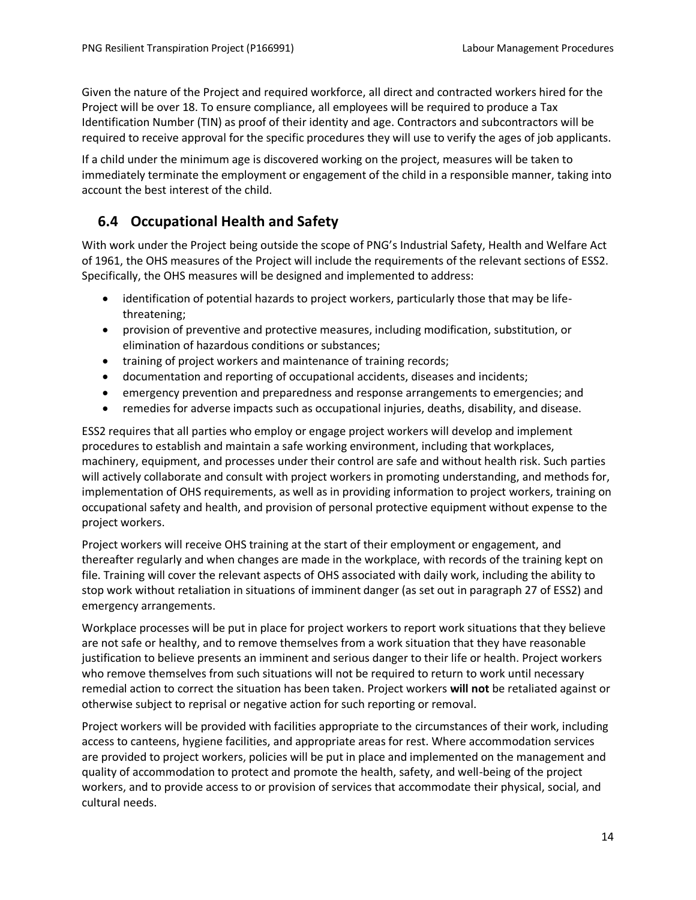Given the nature of the Project and required workforce, all direct and contracted workers hired for the Project will be over 18. To ensure compliance, all employees will be required to produce a Tax Identification Number (TIN) as proof of their identity and age. Contractors and subcontractors will be required to receive approval for the specific procedures they will use to verify the ages of job applicants.

If a child under the minimum age is discovered working on the project, measures will be taken to immediately terminate the employment or engagement of the child in a responsible manner, taking into account the best interest of the child.

# <span id="page-18-0"></span>**6.4 Occupational Health and Safety**

With work under the Project being outside the scope of PNG's Industrial Safety, Health and Welfare Act of 1961, the OHS measures of the Project will include the requirements of the relevant sections of ESS2. Specifically, the OHS measures will be designed and implemented to address:

- identification of potential hazards to project workers, particularly those that may be lifethreatening;
- provision of preventive and protective measures, including modification, substitution, or elimination of hazardous conditions or substances;
- training of project workers and maintenance of training records;
- documentation and reporting of occupational accidents, diseases and incidents;
- emergency prevention and preparedness and response arrangements to emergencies; and
- remedies for adverse impacts such as occupational injuries, deaths, disability, and disease.

ESS2 requires that all parties who employ or engage project workers will develop and implement procedures to establish and maintain a safe working environment, including that workplaces, machinery, equipment, and processes under their control are safe and without health risk. Such parties will actively collaborate and consult with project workers in promoting understanding, and methods for, implementation of OHS requirements, as well as in providing information to project workers, training on occupational safety and health, and provision of personal protective equipment without expense to the project workers.

Project workers will receive OHS training at the start of their employment or engagement, and thereafter regularly and when changes are made in the workplace, with records of the training kept on file. Training will cover the relevant aspects of OHS associated with daily work, including the ability to stop work without retaliation in situations of imminent danger (as set out in paragraph 27 of ESS2) and emergency arrangements.

Workplace processes will be put in place for project workers to report work situations that they believe are not safe or healthy, and to remove themselves from a work situation that they have reasonable justification to believe presents an imminent and serious danger to their life or health. Project workers who remove themselves from such situations will not be required to return to work until necessary remedial action to correct the situation has been taken. Project workers **will not** be retaliated against or otherwise subject to reprisal or negative action for such reporting or removal.

Project workers will be provided with facilities appropriate to the circumstances of their work, including access to canteens, hygiene facilities, and appropriate areas for rest. Where accommodation services are provided to project workers, policies will be put in place and implemented on the management and quality of accommodation to protect and promote the health, safety, and well-being of the project workers, and to provide access to or provision of services that accommodate their physical, social, and cultural needs.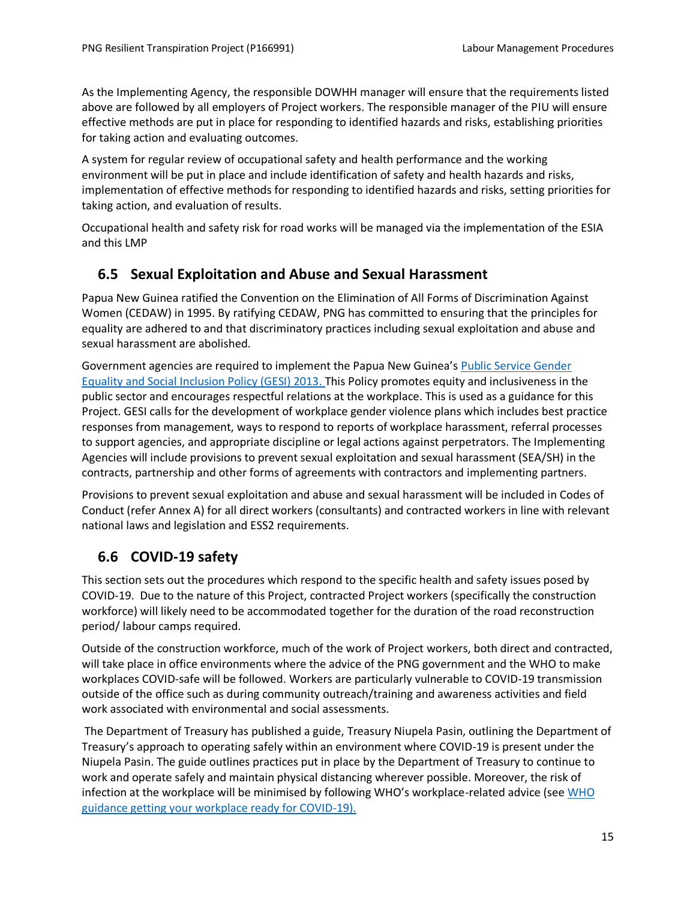As the Implementing Agency, the responsible DOWHH manager will ensure that the requirements listed above are followed by all employers of Project workers. The responsible manager of the PIU will ensure effective methods are put in place for responding to identified hazards and risks, establishing priorities for taking action and evaluating outcomes.

A system for regular review of occupational safety and health performance and the working environment will be put in place and include identification of safety and health hazards and risks, implementation of effective methods for responding to identified hazards and risks, setting priorities for taking action, and evaluation of results.

Occupational health and safety risk for road works will be managed via the implementation of the ESIA and this LMP

# <span id="page-19-0"></span>**6.5 Sexual Exploitation and Abuse and Sexual Harassment**

Papua New Guinea ratified the Convention on the Elimination of All Forms of Discrimination Against Women (CEDAW) in 1995. By ratifying CEDAW, PNG has committed to ensuring that the principles for equality are adhered to and that discriminatory practices including sexual exploitation and abuse and sexual harassment are abolished.

Government agencies are required to implement the Papua New Guinea's [Public Service Gender](https://pngdpm-web.s3.amazonaws.com/documents/doc_GESIPolicyv14210113.pdf)  [Equality and Social Inclusion Policy \(GESI\) 2013.](https://pngdpm-web.s3.amazonaws.com/documents/doc_GESIPolicyv14210113.pdf) This Policy promotes equity and inclusiveness in the public sector and encourages respectful relations at the workplace. This is used as a guidance for this Project. GESI calls for the development of workplace gender violence plans which includes best practice responses from management, ways to respond to reports of workplace harassment, referral processes to support agencies, and appropriate discipline or legal actions against perpetrators. The Implementing Agencies will include provisions to prevent sexual exploitation and sexual harassment (SEA/SH) in the contracts, partnership and other forms of agreements with contractors and implementing partners.

Provisions to prevent sexual exploitation and abuse and sexual harassment will be included in Codes of Conduct (refer Annex A) for all direct workers (consultants) and contracted workers in line with relevant national laws and legislation and ESS2 requirements.

# <span id="page-19-1"></span>**6.6 COVID-19 safety**

This section sets out the procedures which respond to the specific health and safety issues posed by COVID-19. Due to the nature of this Project, contracted Project workers (specifically the construction workforce) will likely need to be accommodated together for the duration of the road reconstruction period/ labour camps required.

Outside of the construction workforce, much of the work of Project workers, both direct and contracted, will take place in office environments where the advice of the PNG government and the WHO to make workplaces COVID-safe will be followed. Workers are particularly vulnerable to COVID-19 transmission outside of the office such as during community outreach/training and awareness activities and field work associated with environmental and social assessments.

The Department of Treasury has published a guide, Treasury Niupela Pasin, outlining the Department of Treasury's approach to operating safely within an environment where COVID-19 is present under the Niupela Pasin. The guide outlines practices put in place by the Department of Treasury to continue to work and operate safely and maintain physical distancing wherever possible. Moreover, the risk of infection at the workplace will be minimised by following WHO's workplace-related advice (see WHO [guidance getting your workplace ready for COVID-19\)](https://www.who.int/docs/default-source/coronaviruse/getting-workplace-ready-for-covid-19.pdf).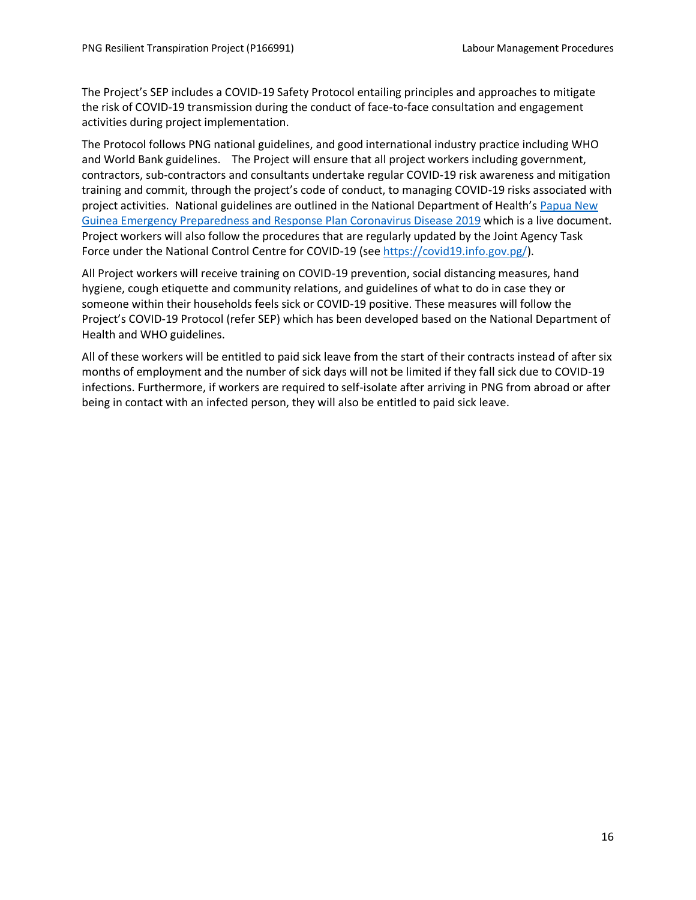The Project's SEP includes a COVID-19 Safety Protocol entailing principles and approaches to mitigate the risk of COVID-19 transmission during the conduct of face-to-face consultation and engagement activities during project implementation.

The Protocol follows PNG national guidelines, and good international industry practice including WHO and World Bank guidelines. The Project will ensure that all project workers including government, contractors, sub-contractors and consultants undertake regular COVID-19 risk awareness and mitigation training and commit, through the project's code of conduct, to managing COVID-19 risks associated with project activities. National guidelines are outlined in the National Department of Health's Papua New [Guinea Emergency Preparedness and Response Plan Coronavirus Disease 2019](https://www.health.gov.pg/covid19/PNGEPRPCOVID19.pdf) which is a live document. Project workers will also follow the procedures that are regularly updated by the Joint Agency Task Force under the National Control Centre for COVID-19 (see [https://covid19.info.gov.pg/\)](https://covid19.info.gov.pg/).

All Project workers will receive training on COVID-19 prevention, social distancing measures, hand hygiene, cough etiquette and community relations, and guidelines of what to do in case they or someone within their households feels sick or COVID-19 positive. These measures will follow the Project's COVID-19 Protocol (refer SEP) which has been developed based on the National Department of Health and WHO guidelines.

All of these workers will be entitled to paid sick leave from the start of their contracts instead of after six months of employment and the number of sick days will not be limited if they fall sick due to COVID-19 infections. Furthermore, if workers are required to self-isolate after arriving in PNG from abroad or after being in contact with an infected person, they will also be entitled to paid sick leave.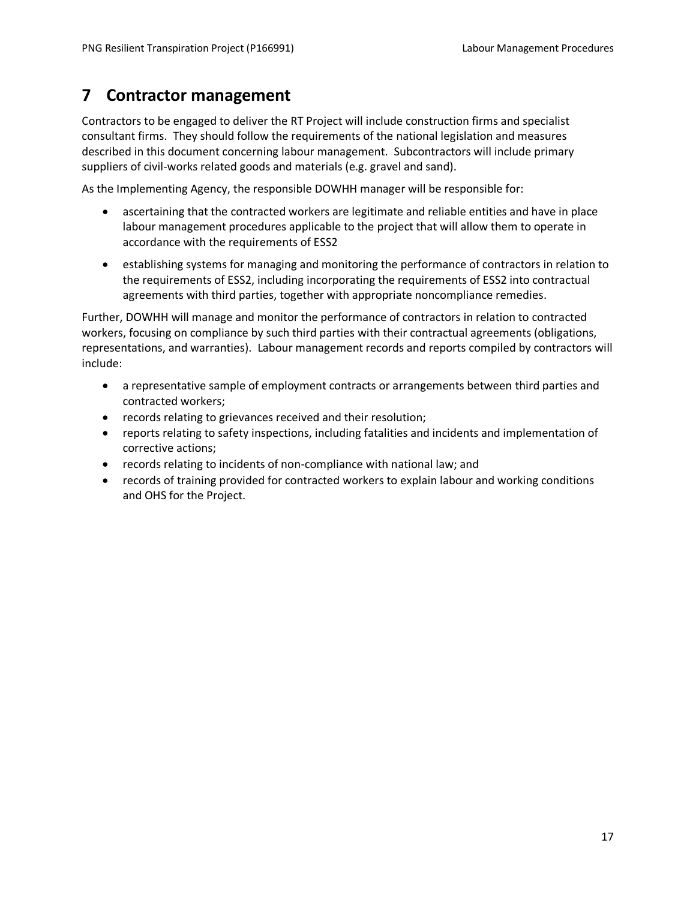# <span id="page-21-0"></span>**7 Contractor management**

Contractors to be engaged to deliver the RT Project will include construction firms and specialist consultant firms. They should follow the requirements of the national legislation and measures described in this document concerning labour management. Subcontractors will include primary suppliers of civil-works related goods and materials (e.g. gravel and sand).

As the Implementing Agency, the responsible DOWHH manager will be responsible for:

- ascertaining that the contracted workers are legitimate and reliable entities and have in place labour management procedures applicable to the project that will allow them to operate in accordance with the requirements of ESS2
- establishing systems for managing and monitoring the performance of contractors in relation to the requirements of ESS2, including incorporating the requirements of ESS2 into contractual agreements with third parties, together with appropriate noncompliance remedies.

Further, DOWHH will manage and monitor the performance of contractors in relation to contracted workers, focusing on compliance by such third parties with their contractual agreements (obligations, representations, and warranties). Labour management records and reports compiled by contractors will include:

- a representative sample of employment contracts or arrangements between third parties and contracted workers;
- records relating to grievances received and their resolution;
- reports relating to safety inspections, including fatalities and incidents and implementation of corrective actions;
- records relating to incidents of non-compliance with national law; and
- records of training provided for contracted workers to explain labour and working conditions and OHS for the Project.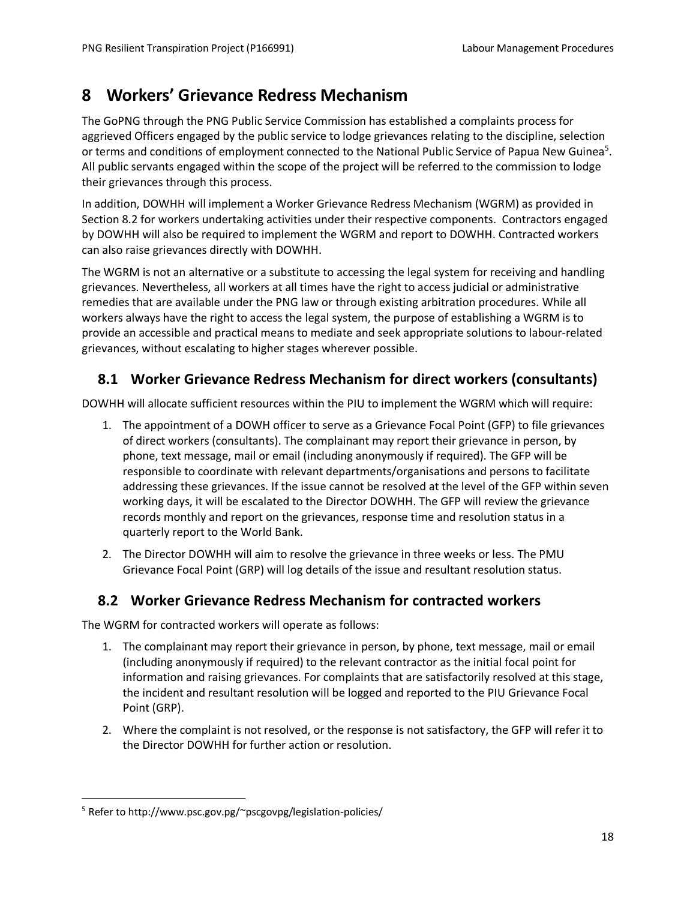# <span id="page-22-0"></span>**8 Workers' Grievance Redress Mechanism**

The GoPNG through the PNG Public Service Commission has established a complaints process for aggrieved Officers engaged by the public service to lodge grievances relating to the discipline, selection or terms and conditions of employment connected to the National Public Service of Papua New Guinea<sup>5</sup>. All public servants engaged within the scope of the project will be referred to the commission to lodge their grievances through this process.

In addition, DOWHH will implement a Worker Grievance Redress Mechanism (WGRM) as provided in Section 8.2 for workers undertaking activities under their respective components. Contractors engaged by DOWHH will also be required to implement the WGRM and report to DOWHH. Contracted workers can also raise grievances directly with DOWHH.

The WGRM is not an alternative or a substitute to accessing the legal system for receiving and handling grievances. Nevertheless, all workers at all times have the right to access judicial or administrative remedies that are available under the PNG law or through existing arbitration procedures. While all workers always have the right to access the legal system, the purpose of establishing a WGRM is to provide an accessible and practical means to mediate and seek appropriate solutions to labour-related grievances, without escalating to higher stages wherever possible.

# <span id="page-22-1"></span>**8.1 Worker Grievance Redress Mechanism for direct workers (consultants)**

DOWHH will allocate sufficient resources within the PIU to implement the WGRM which will require:

- 1. The appointment of a DOWH officer to serve as a Grievance Focal Point (GFP) to file grievances of direct workers (consultants). The complainant may report their grievance in person, by phone, text message, mail or email (including anonymously if required). The GFP will be responsible to coordinate with relevant departments/organisations and persons to facilitate addressing these grievances. If the issue cannot be resolved at the level of the GFP within seven working days, it will be escalated to the Director DOWHH. The GFP will review the grievance records monthly and report on the grievances, response time and resolution status in a quarterly report to the World Bank.
- 2. The Director DOWHH will aim to resolve the grievance in three weeks or less. The PMU Grievance Focal Point (GRP) will log details of the issue and resultant resolution status.

# <span id="page-22-2"></span>**8.2 Worker Grievance Redress Mechanism for contracted workers**

The WGRM for contracted workers will operate as follows:

- 1. The complainant may report their grievance in person, by phone, text message, mail or email (including anonymously if required) to the relevant contractor as the initial focal point for information and raising grievances. For complaints that are satisfactorily resolved at this stage, the incident and resultant resolution will be logged and reported to the PIU Grievance Focal Point (GRP).
- 2. Where the complaint is not resolved, or the response is not satisfactory, the GFP will refer it to the Director DOWHH for further action or resolution.

<sup>5</sup> Refer to http://www.psc.gov.pg/~pscgovpg/legislation-policies/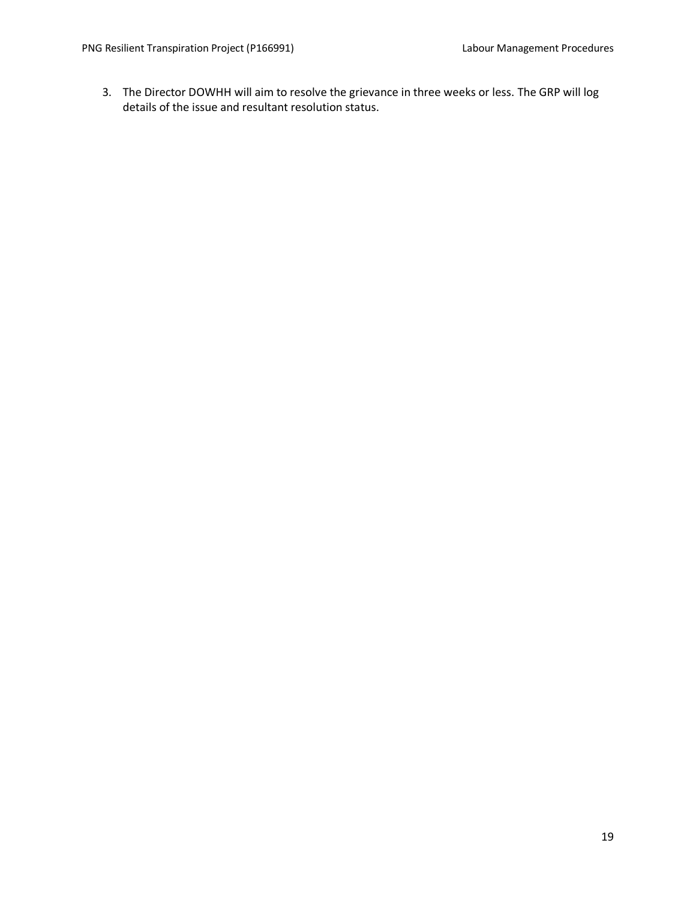3. The Director DOWHH will aim to resolve the grievance in three weeks or less. The GRP will log details of the issue and resultant resolution status.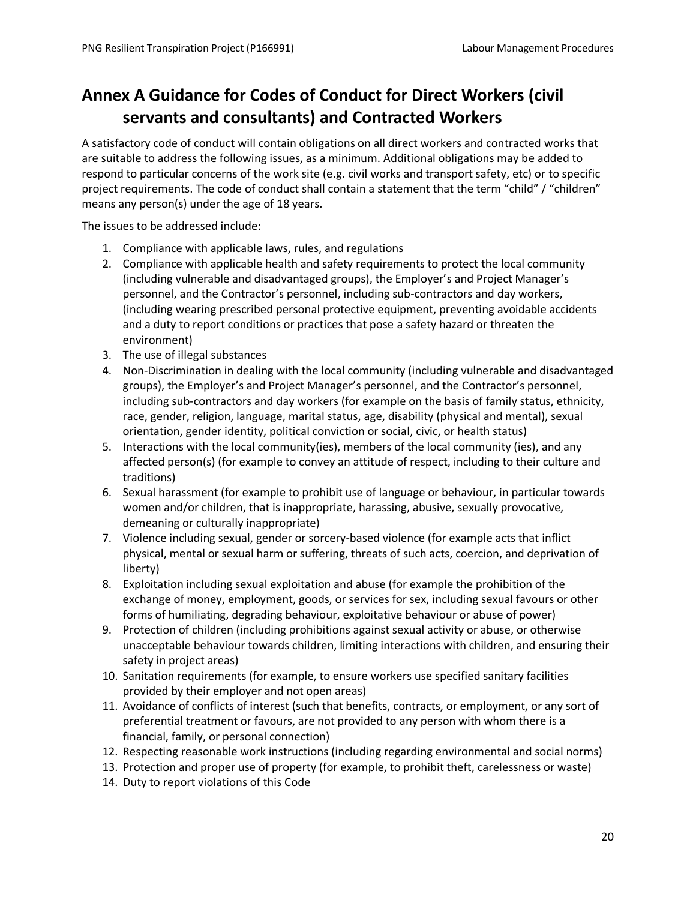# <span id="page-24-0"></span>**Annex A Guidance for Codes of Conduct for Direct Workers (civil servants and consultants) and Contracted Workers**

A satisfactory code of conduct will contain obligations on all direct workers and contracted works that are suitable to address the following issues, as a minimum. Additional obligations may be added to respond to particular concerns of the work site (e.g. civil works and transport safety, etc) or to specific project requirements. The code of conduct shall contain a statement that the term "child" / "children" means any person(s) under the age of 18 years.

The issues to be addressed include:

- 1. Compliance with applicable laws, rules, and regulations
- 2. Compliance with applicable health and safety requirements to protect the local community (including vulnerable and disadvantaged groups), the Employer's and Project Manager's personnel, and the Contractor's personnel, including sub-contractors and day workers, (including wearing prescribed personal protective equipment, preventing avoidable accidents and a duty to report conditions or practices that pose a safety hazard or threaten the environment)
- 3. The use of illegal substances
- 4. Non-Discrimination in dealing with the local community (including vulnerable and disadvantaged groups), the Employer's and Project Manager's personnel, and the Contractor's personnel, including sub-contractors and day workers (for example on the basis of family status, ethnicity, race, gender, religion, language, marital status, age, disability (physical and mental), sexual orientation, gender identity, political conviction or social, civic, or health status)
- 5. Interactions with the local community(ies), members of the local community (ies), and any affected person(s) (for example to convey an attitude of respect, including to their culture and traditions)
- 6. Sexual harassment (for example to prohibit use of language or behaviour, in particular towards women and/or children, that is inappropriate, harassing, abusive, sexually provocative, demeaning or culturally inappropriate)
- 7. Violence including sexual, gender or sorcery-based violence (for example acts that inflict physical, mental or sexual harm or suffering, threats of such acts, coercion, and deprivation of liberty)
- 8. Exploitation including sexual exploitation and abuse (for example the prohibition of the exchange of money, employment, goods, or services for sex, including sexual favours or other forms of humiliating, degrading behaviour, exploitative behaviour or abuse of power)
- 9. Protection of children (including prohibitions against sexual activity or abuse, or otherwise unacceptable behaviour towards children, limiting interactions with children, and ensuring their safety in project areas)
- 10. Sanitation requirements (for example, to ensure workers use specified sanitary facilities provided by their employer and not open areas)
- 11. Avoidance of conflicts of interest (such that benefits, contracts, or employment, or any sort of preferential treatment or favours, are not provided to any person with whom there is a financial, family, or personal connection)
- 12. Respecting reasonable work instructions (including regarding environmental and social norms)
- 13. Protection and proper use of property (for example, to prohibit theft, carelessness or waste)
- 14. Duty to report violations of this Code